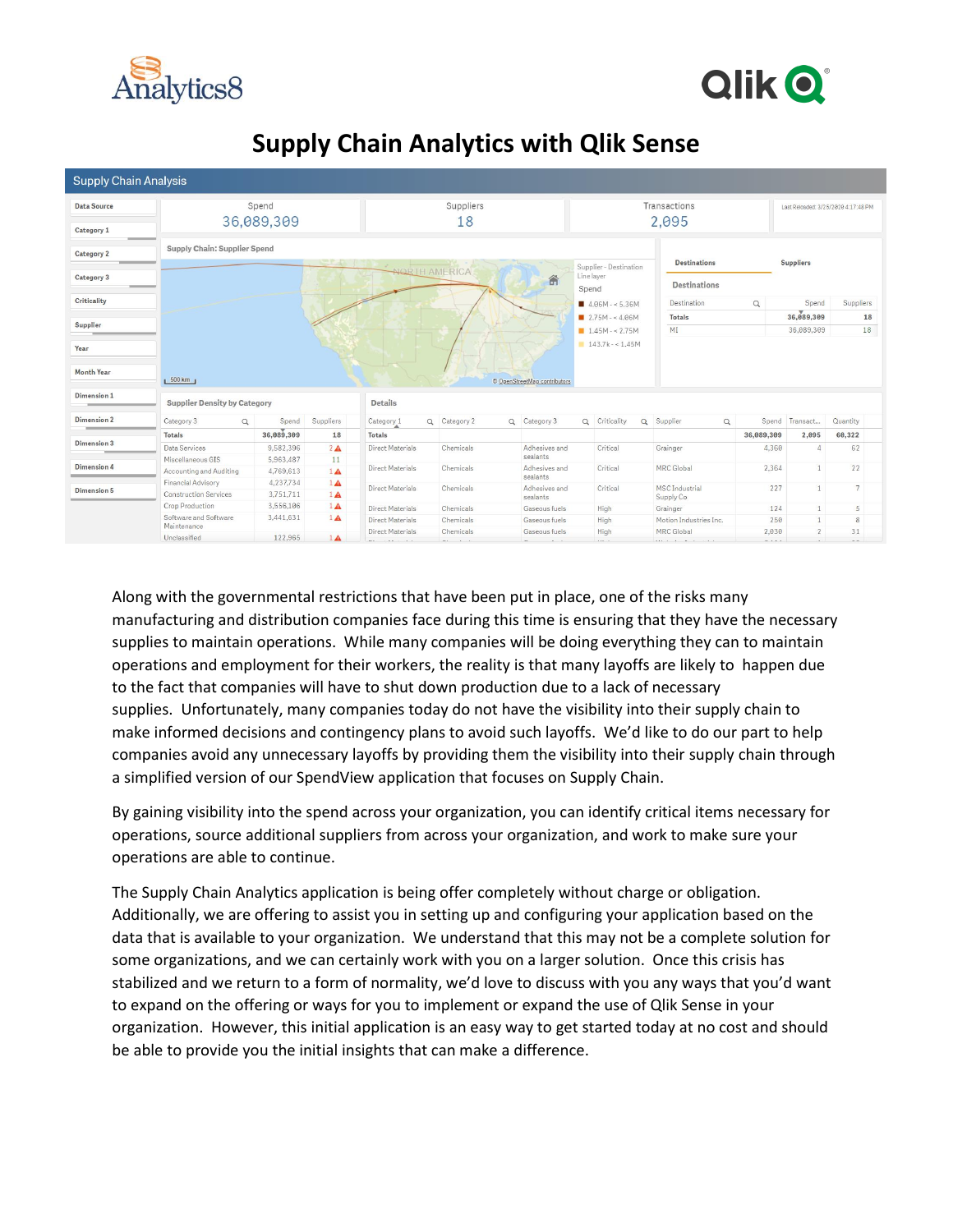



# **Supply Chain Analytics with Qlik Sense**

| <b>Supply Chain Analysis</b> |                                     |            |             |                         |                                    |                      |                                       |                     |                                |                               |                  |                |                                     |  |
|------------------------------|-------------------------------------|------------|-------------|-------------------------|------------------------------------|----------------------|---------------------------------------|---------------------|--------------------------------|-------------------------------|------------------|----------------|-------------------------------------|--|
| <b>Data Source</b>           |                                     | Spend      |             |                         |                                    | Suppliers            |                                       |                     |                                | Transactions                  |                  |                | Last Reloaded: 3/25/2020 4:17:48 PM |  |
|                              |                                     | 36,089,309 |             |                         |                                    | 18                   |                                       |                     |                                | 2,095                         |                  |                |                                     |  |
| Category 1                   |                                     |            |             |                         |                                    |                      |                                       |                     |                                |                               |                  |                |                                     |  |
|                              |                                     |            |             |                         |                                    |                      |                                       |                     |                                |                               |                  |                |                                     |  |
| Category 2                   | Supply Chain: Supplier Spend        |            |             |                         |                                    |                      |                                       |                     |                                |                               | <b>Suppliers</b> |                |                                     |  |
|                              |                                     |            |             |                         |                                    | <b>NORTH AMERICA</b> |                                       |                     | Supplier - Destination         | <b>Destinations</b>           |                  |                |                                     |  |
| Category 3<br>$\sim$ $\sim$  |                                     |            | 合           |                         |                                    |                      | Line layer                            | <b>Destinations</b> |                                |                               |                  |                |                                     |  |
|                              |                                     |            |             |                         |                                    |                      |                                       | Spend               |                                |                               |                  |                |                                     |  |
| <b>Criticality</b>           |                                     |            |             |                         |                                    |                      |                                       |                     | $4.06M - 5.36M$                | Destination                   | Q                | Spend          | Suppliers                           |  |
|                              |                                     |            |             |                         |                                    |                      |                                       |                     | $\blacksquare$ 2.75M - < 4.06M | <b>Totals</b>                 |                  | 36,089,309     | 18                                  |  |
| Supplier                     |                                     |            |             |                         |                                    |                      |                                       |                     | $1.45M - 2.75M$                | MI                            |                  | 36,089,309     | 18                                  |  |
| Year                         |                                     |            |             |                         |                                    |                      |                                       |                     | $143.7k - 1.45M$               |                               |                  |                |                                     |  |
| <b>Month Year</b>            | 1.500 km                            |            |             |                         |                                    |                      | © OpenStreetMap contributors          |                     |                                |                               |                  |                |                                     |  |
| Dimension 1                  | <b>Supplier Density by Category</b> |            |             | <b>Details</b>          |                                    |                      |                                       |                     |                                |                               |                  |                |                                     |  |
| <b>Dimension 2</b>           | Category 3<br>Q                     | Spend      | Suppliers   | Category <sub>1</sub>   |                                    | Q Category 2         | Q Category 3                          |                     | Q Criticality                  | Q Supplier<br>$\alpha$        |                  | Spend Transact | Quantity                            |  |
|                              | <b>Totals</b>                       | 36,089,309 | 18          | <b>Totals</b>           |                                    |                      |                                       |                     |                                |                               | 36,089,309       | 2,095          | 60,322                              |  |
| Dimension 3                  | Data Services                       | 9,582,396  | $2\text{A}$ | Direct Materials        |                                    | Chemicals            | Adhesives and                         |                     | Critical                       | Grainger                      | 4,360            |                | 62                                  |  |
|                              | Miscellaneous GIS                   | 5,963,487  | 11          |                         |                                    | sealants             |                                       |                     |                                |                               |                  |                |                                     |  |
| Dimension 4                  | Accounting and Auditing             | 4,769,613  | $1\text{A}$ | Direct Materials        |                                    | Chemicals            | Adhesives and                         |                     | Critical                       | MRC Global                    | 2.364            |                | 22                                  |  |
| Dimension 5                  | Financial Advisory                  | 4,237,734  | $1\text{A}$ |                         |                                    | Chemicals            | sealants<br>Adhesives and<br>sealants | Critical            |                                |                               | 227              |                | $\overline{7}$                      |  |
|                              | <b>Construction Services</b>        | 3,751,711  | $1\text{A}$ | Direct Materials        | <b>MSC</b> Industrial<br>Supply Co |                      |                                       |                     |                                |                               |                  |                |                                     |  |
|                              | Crop Production                     | 3,556,106  | $1\text{A}$ | <b>Direct Materials</b> |                                    | Chemicals            | Gaseous fuels                         |                     | High                           | Grainger                      | 124              |                | 5                                   |  |
|                              | Software and Software               | 3,441,631  | $1\text{A}$ | Direct Materials        |                                    | Chemicals            | Gaseous fuels                         |                     | High                           | Motion Industries Inc.        | 250              |                | 8                                   |  |
|                              | Maintenance                         |            |             | Direct Materials        |                                    | Chemicals            | Gaseous fuels                         |                     | High                           | MRC Global                    | 2,030            | $\overline{2}$ | 31                                  |  |
|                              | Unclassified                        | 122.965    | $1\text{A}$ |                         |                                    |                      |                                       |                     | $1.11 - 1.$                    | $\cdots \cdots \cdots \cdots$ |                  |                |                                     |  |

Along with the governmental restrictions that have been put in place, one of the risks many manufacturing and distribution companies face during this time is ensuring that they have the necessary supplies to maintain operations. While many companies will be doing everything they can to maintain operations and employment for their workers, the reality is that many layoffs are likely to happen due to the fact that companies will have to shut down production due to a lack of necessary supplies. Unfortunately, many companies today do not have the visibility into their supply chain to make informed decisions and contingency plans to avoid such layoffs. We'd like to do our part to help companies avoid any unnecessary layoffs by providing them the visibility into their supply chain through a simplified version of our SpendView application that focuses on Supply Chain.

By gaining visibility into the spend across your organization, you can identify critical items necessary for operations, source additional suppliers from across your organization, and work to make sure your operations are able to continue.

The Supply Chain Analytics application is being offer completely without charge or obligation. Additionally, we are offering to assist you in setting up and configuring your application based on the data that is available to your organization. We understand that this may not be a complete solution for some organizations, and we can certainly work with you on a larger solution. Once this crisis has stabilized and we return to a form of normality, we'd love to discuss with you any ways that you'd want to expand on the offering or ways for you to implement or expand the use of Qlik Sense in your organization. However, this initial application is an easy way to get started today at no cost and should be able to provide you the initial insights that can make a difference.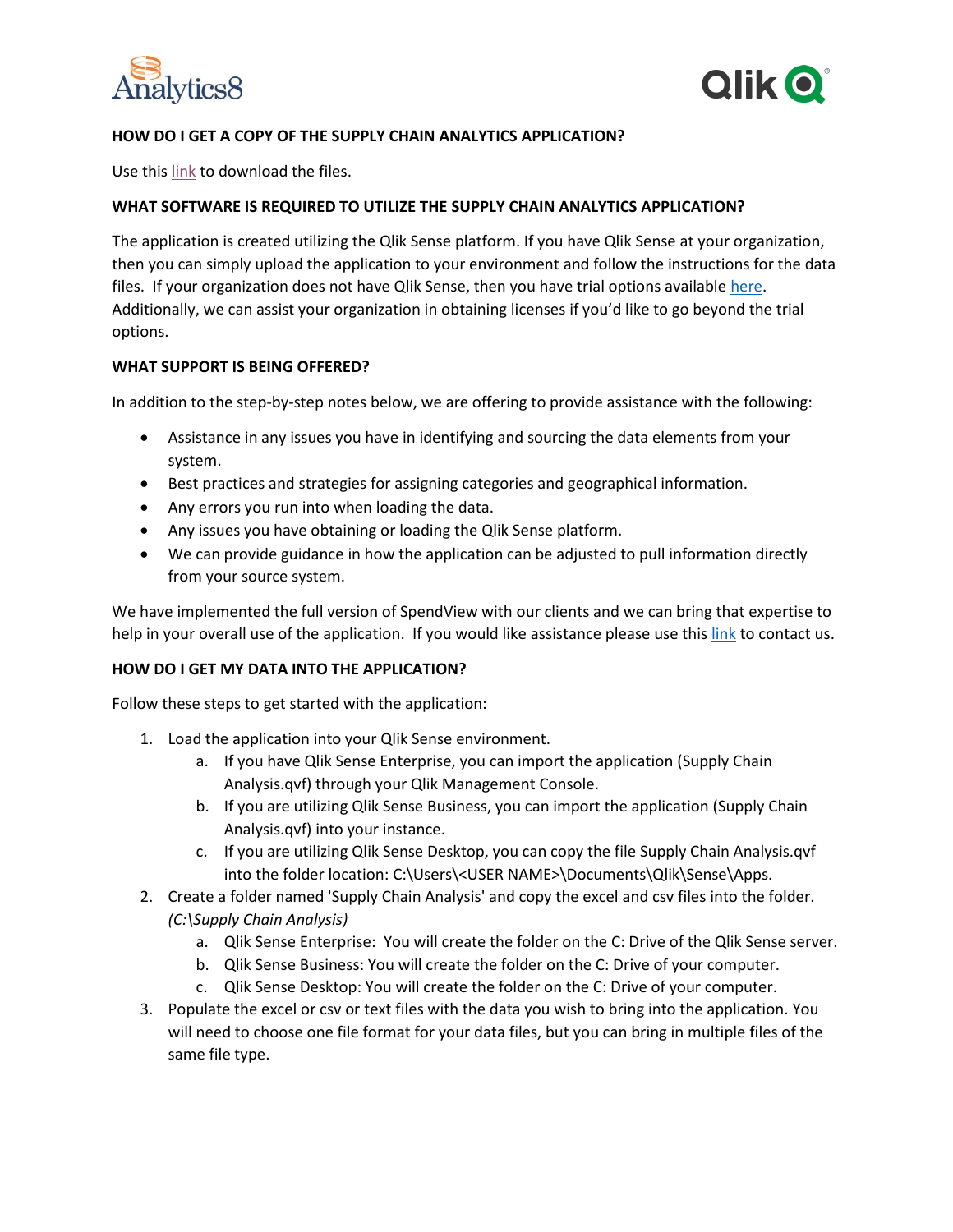



## **HOW DO I GET A COPY OF THE SUPPLY CHAIN ANALYTICS APPLICATION?**

Use this [link](https://analytics8.sharefile.com/d-s5ae4a226eab40e39) to download the files.

### **WHAT SOFTWARE IS REQUIRED TO UTILIZE THE SUPPLY CHAIN ANALYTICS APPLICATION?**

The application is created utilizing the Qlik Sense platform. If you have Qlik Sense at your organization, then you can simply upload the application to your environment and follow the instructions for the data files. If your organization does not have Qlik Sense, then you have trial options available [here.](https://www.qlik.com/us/products/qlik-sense) Additionally, we can assist your organization in obtaining licenses if you'd like to go beyond the trial options.

#### **WHAT SUPPORT IS BEING OFFERED?**

In addition to the step-by-step notes below, we are offering to provide assistance with the following:

- Assistance in any issues you have in identifying and sourcing the data elements from your system.
- Best practices and strategies for assigning categories and geographical information.
- Any errors you run into when loading the data.
- Any issues you have obtaining or loading the Qlik Sense platform.
- We can provide guidance in how the application can be adjusted to pull information directly from your source system.

We have implemented the full version of SpendView with our clients and we can bring that expertise to help in your overall use of the application. If you would like assistance please use this [link](mailto:tlamont@analytics8.com?subject=Supply%20Chain%20Analytics%20Assistance%20Request) to contact us.

### **HOW DO I GET MY DATA INTO THE APPLICATION?**

Follow these steps to get started with the application:

- 1. Load the application into your Qlik Sense environment.
	- a. If you have Qlik Sense Enterprise, you can import the application (Supply Chain Analysis.qvf) through your Qlik Management Console.
	- b. If you are utilizing Qlik Sense Business, you can import the application (Supply Chain Analysis.qvf) into your instance.
	- c. If you are utilizing Qlik Sense Desktop, you can copy the file Supply Chain Analysis.qvf into the folder location: C:\Users\<USER NAME>\Documents\Qlik\Sense\Apps.
- 2. Create a folder named 'Supply Chain Analysis' and copy the excel and csv files into the folder. *(C:\Supply Chain Analysis)*
	- a. Qlik Sense Enterprise: You will create the folder on the C: Drive of the Qlik Sense server.
	- b. Qlik Sense Business: You will create the folder on the C: Drive of your computer.
	- c. Qlik Sense Desktop: You will create the folder on the C: Drive of your computer.
- 3. Populate the excel or csv or text files with the data you wish to bring into the application. You will need to choose one file format for your data files, but you can bring in multiple files of the same file type.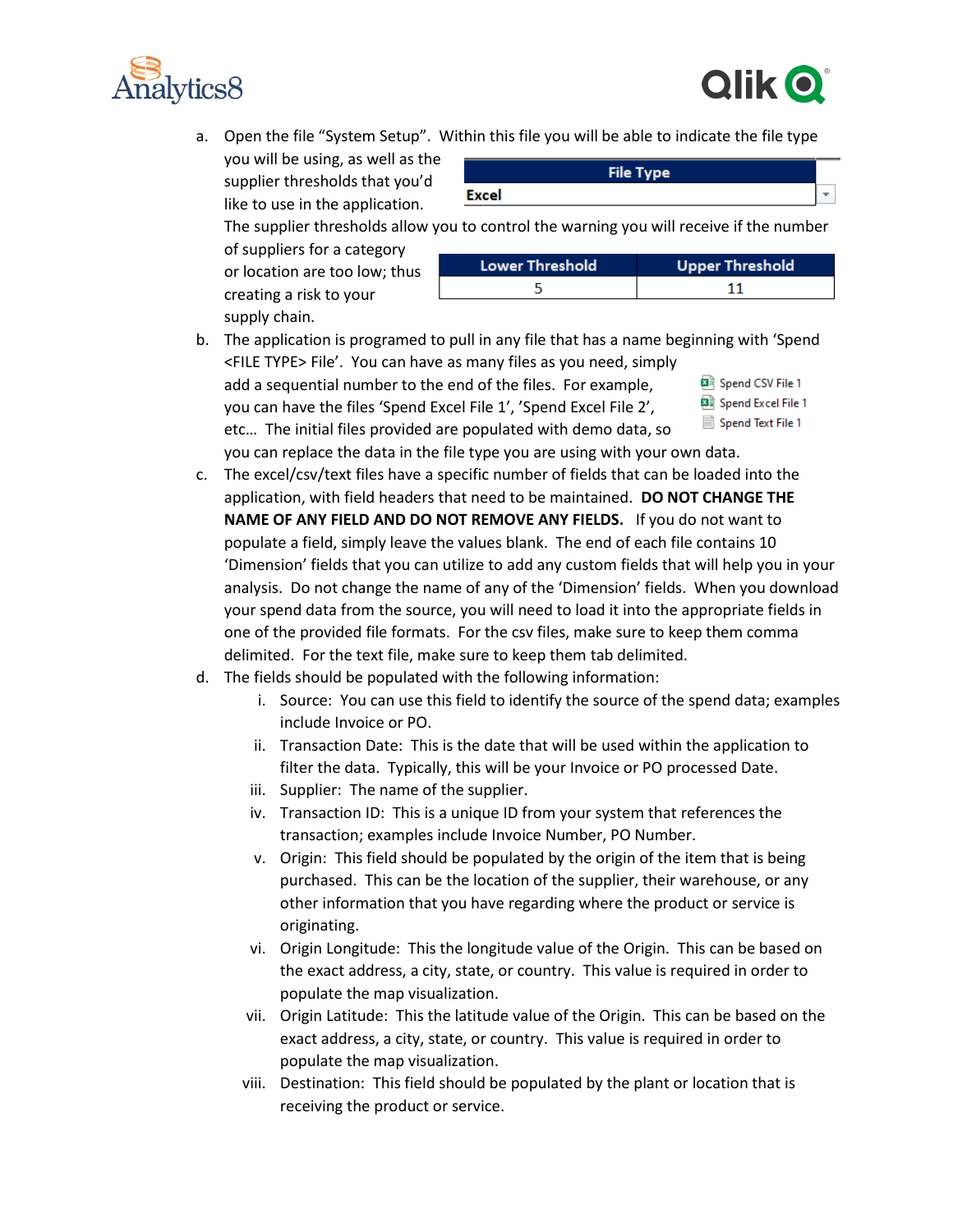



- a. Open the file "System Setup". Within this file you will be able to indicate the file type
	- you will be using, as well as the supplier thresholds that you'd like to use in the application.

|              | <b>File Type</b> |  |
|--------------|------------------|--|
| <b>Excel</b> |                  |  |
|              |                  |  |

The supplier thresholds allow you to control the warning you will receive if the number of suppliers for a category or location are too low; thus creating a risk to your supply chain.

| <b>Lower Threshold</b> | <b>Upper Threshold</b> |
|------------------------|------------------------|

| э | <b>LOWER THRESHORN</b> | <b>SPPS:</b> THESHOR |  |  |  |
|---|------------------------|----------------------|--|--|--|
|   |                        |                      |  |  |  |
|   |                        |                      |  |  |  |

- b. The application is programed to pull in any file that has a name beginning with 'Spend <FILE TYPE> File'. You can have as many files as you need, simply add a sequential number to the end of the files. For example, Spend CSV File 1 Spend Excel File 1 you can have the files 'Spend Excel File 1', 'Spend Excel File 2', Spend Text File 1 etc… The initial files provided are populated with demo data, so you can replace the data in the file type you are using with your own data.
- c. The excel/csv/text files have a specific number of fields that can be loaded into the application, with field headers that need to be maintained. **DO NOT CHANGE THE NAME OF ANY FIELD AND DO NOT REMOVE ANY FIELDS.** If you do not want to populate a field, simply leave the values blank.The end of each file contains 10 'Dimension' fields that you can utilize to add any custom fields that will help you in your analysis. Do not change the name of any of the 'Dimension' fields. When you download your spend data from the source, you will need to load it into the appropriate fields in one of the provided file formats. For the csv files, make sure to keep them comma delimited. For the text file, make sure to keep them tab delimited.
- d. The fields should be populated with the following information:
	- i. Source: You can use this field to identify the source of the spend data; examples include Invoice or PO.
	- ii. Transaction Date: This is the date that will be used within the application to filter the data. Typically, this will be your Invoice or PO processed Date.
	- iii. Supplier: The name of the supplier.
	- iv. Transaction ID: This is a unique ID from your system that references the transaction; examples include Invoice Number, PO Number.
	- v. Origin: This field should be populated by the origin of the item that is being purchased. This can be the location of the supplier, their warehouse, or any other information that you have regarding where the product or service is originating.
	- vi. Origin Longitude: This the longitude value of the Origin. This can be based on the exact address, a city, state, or country. This value is required in order to populate the map visualization.
	- vii. Origin Latitude: This the latitude value of the Origin. This can be based on the exact address, a city, state, or country. This value is required in order to populate the map visualization.
	- viii. Destination: This field should be populated by the plant or location that is receiving the product or service.